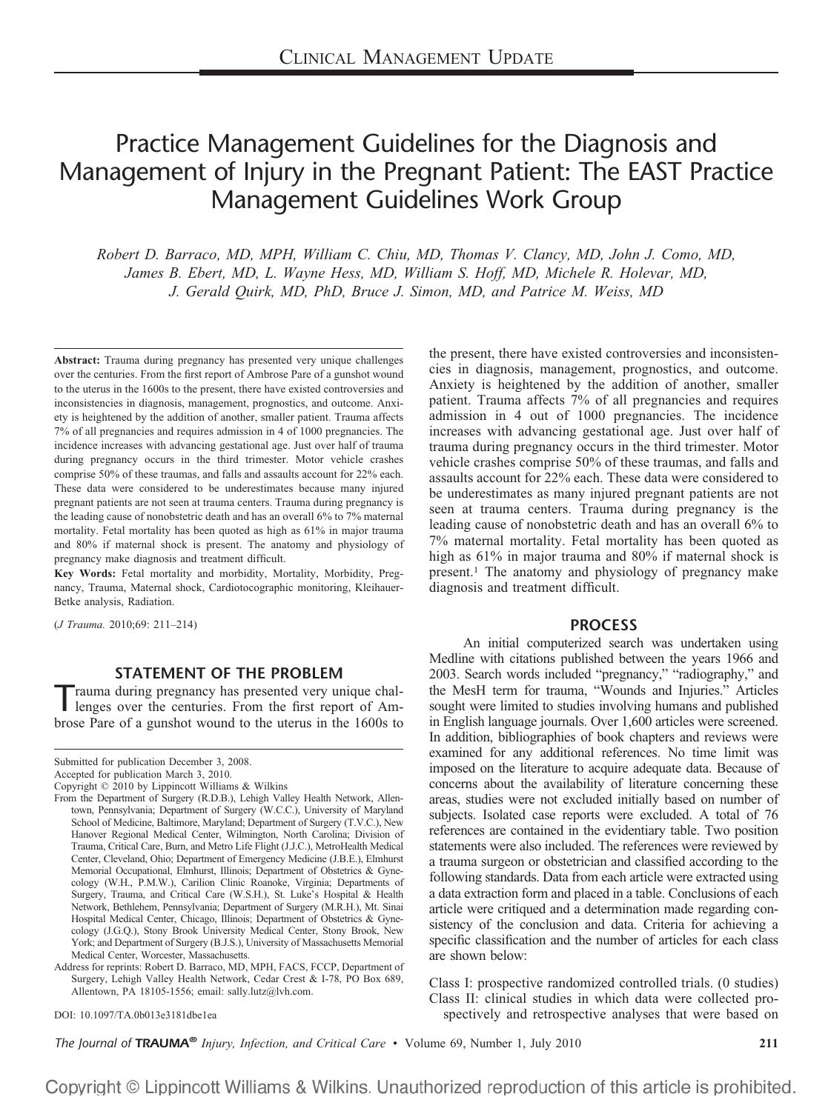# Practice Management Guidelines for the Diagnosis and Management of Injury in the Pregnant Patient: The EAST Practice Management Guidelines Work Group

*Robert D. Barraco, MD, MPH, William C. Chiu, MD, Thomas V. Clancy, MD, John J. Como, MD, James B. Ebert, MD, L. Wayne Hess, MD, William S. Hoff, MD, Michele R. Holevar, MD, J. Gerald Quirk, MD, PhD, Bruce J. Simon, MD, and Patrice M. Weiss, MD*

**Abstract:** Trauma during pregnancy has presented very unique challenges over the centuries. From the first report of Ambrose Pare of a gunshot wound to the uterus in the 1600s to the present, there have existed controversies and inconsistencies in diagnosis, management, prognostics, and outcome. Anxiety is heightened by the addition of another, smaller patient. Trauma affects 7% of all pregnancies and requires admission in 4 of 1000 pregnancies. The incidence increases with advancing gestational age. Just over half of trauma during pregnancy occurs in the third trimester. Motor vehicle crashes comprise 50% of these traumas, and falls and assaults account for 22% each. These data were considered to be underestimates because many injured pregnant patients are not seen at trauma centers. Trauma during pregnancy is the leading cause of nonobstetric death and has an overall 6% to 7% maternal mortality. Fetal mortality has been quoted as high as 61% in major trauma and 80% if maternal shock is present. The anatomy and physiology of pregnancy make diagnosis and treatment difficult.

**Key Words:** Fetal mortality and morbidity, Mortality, Morbidity, Pregnancy, Trauma, Maternal shock, Cardiotocographic monitoring, Kleihauer-Betke analysis, Radiation.

(*J Trauma.* 2010;69: 211–214)

### **STATEMENT OF THE PROBLEM**

Trauma during pregnancy has presented very unique challenges over the centuries. From the first report of Ambrose Pare of a gunshot wound to the uterus in the 1600s to

Address for reprints: Robert D. Barraco, MD, MPH, FACS, FCCP, Department of Surgery, Lehigh Valley Health Network, Cedar Crest & I-78, PO Box 689, Allentown, PA 18105-1556; email: sally.lutz@lvh.com.

DOI: 10.1097/TA.0b013e3181dbe1ea

the present, there have existed controversies and inconsistencies in diagnosis, management, prognostics, and outcome. Anxiety is heightened by the addition of another, smaller patient. Trauma affects 7% of all pregnancies and requires admission in 4 out of 1000 pregnancies. The incidence increases with advancing gestational age. Just over half of trauma during pregnancy occurs in the third trimester. Motor vehicle crashes comprise 50% of these traumas, and falls and assaults account for 22% each. These data were considered to be underestimates as many injured pregnant patients are not seen at trauma centers. Trauma during pregnancy is the leading cause of nonobstetric death and has an overall 6% to 7% maternal mortality. Fetal mortality has been quoted as high as  $61\%$  in major trauma and 80% if maternal shock is present.1 The anatomy and physiology of pregnancy make diagnosis and treatment difficult.

#### **PROCESS**

An initial computerized search was undertaken using Medline with citations published between the years 1966 and 2003. Search words included "pregnancy," "radiography," and the MesH term for trauma, "Wounds and Injuries." Articles sought were limited to studies involving humans and published in English language journals. Over 1,600 articles were screened. In addition, bibliographies of book chapters and reviews were examined for any additional references. No time limit was imposed on the literature to acquire adequate data. Because of concerns about the availability of literature concerning these areas, studies were not excluded initially based on number of subjects. Isolated case reports were excluded. A total of 76 references are contained in the evidentiary table. Two position statements were also included. The references were reviewed by a trauma surgeon or obstetrician and classified according to the following standards. Data from each article were extracted using a data extraction form and placed in a table. Conclusions of each article were critiqued and a determination made regarding consistency of the conclusion and data. Criteria for achieving a specific classification and the number of articles for each class are shown below:

Class I: prospective randomized controlled trials. (0 studies) Class II: clinical studies in which data were collected prospectively and retrospective analyses that were based on

*The Journal of TRAUMA® Injury, Infection, and Critical Care* • Volume 69, Number 1, July 2010 **211**

Copyright © Lippincott Williams & Wilkins. Unauthorized reproduction of this article is prohibited.

Submitted for publication December 3, 2008. Accepted for publication March 3, 2010. Copyright © 2010 by Lippincott Williams & Wilkins

From the Department of Surgery (R.D.B.), Lehigh Valley Health Network, Allentown, Pennsylvania; Department of Surgery (W.C.C.), University of Maryland School of Medicine, Baltimore, Maryland; Department of Surgery (T.V.C.), New Hanover Regional Medical Center, Wilmington, North Carolina; Division of Trauma, Critical Care, Burn, and Metro Life Flight (J.J.C.), MetroHealth Medical Center, Cleveland, Ohio; Department of Emergency Medicine (J.B.E.), Elmhurst Memorial Occupational, Elmhurst, Illinois; Department of Obstetrics & Gynecology (W.H., P.M.W.), Carilion Clinic Roanoke, Virginia; Departments of Surgery, Trauma, and Critical Care (W.S.H.), St. Luke's Hospital & Health Network, Bethlehem, Pennsylvania; Department of Surgery (M.R.H.), Mt. Sinai Hospital Medical Center, Chicago, Illinois; Department of Obstetrics & Gynecology (J.G.Q.), Stony Brook University Medical Center, Stony Brook, New York; and Department of Surgery (B.J.S.), University of Massachusetts Memorial Medical Center, Worcester, Massachusetts.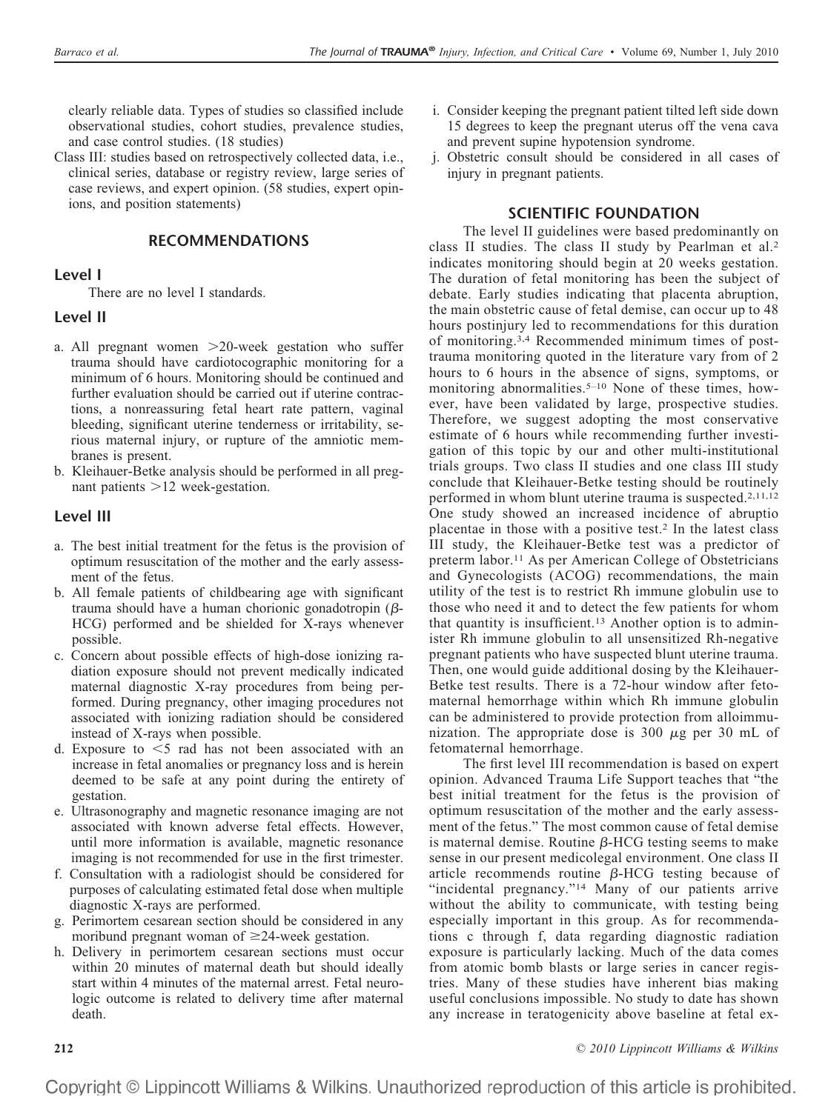clearly reliable data. Types of studies so classified include observational studies, cohort studies, prevalence studies, and case control studies. (18 studies)

Class III: studies based on retrospectively collected data, i.e., clinical series, database or registry review, large series of case reviews, and expert opinion. (58 studies, expert opinions, and position statements)

## **RECOMMENDATIONS**

### **Level I**

There are no level I standards.

# **Level II**

- a. All pregnant women 20-week gestation who suffer trauma should have cardiotocographic monitoring for a minimum of 6 hours. Monitoring should be continued and further evaluation should be carried out if uterine contractions, a nonreassuring fetal heart rate pattern, vaginal bleeding, significant uterine tenderness or irritability, serious maternal injury, or rupture of the amniotic membranes is present.
- b. Kleihauer-Betke analysis should be performed in all pregnant patients  $>12$  week-gestation.

## **Level III**

- a. The best initial treatment for the fetus is the provision of optimum resuscitation of the mother and the early assessment of the fetus.
- b. All female patients of childbearing age with significant trauma should have a human chorionic gonadotropin  $(\beta$ -HCG) performed and be shielded for X-rays whenever possible.
- c. Concern about possible effects of high-dose ionizing radiation exposure should not prevent medically indicated maternal diagnostic X-ray procedures from being performed. During pregnancy, other imaging procedures not associated with ionizing radiation should be considered instead of X-rays when possible.
- d. Exposure to  $\leq$  rad has not been associated with an increase in fetal anomalies or pregnancy loss and is herein deemed to be safe at any point during the entirety of gestation.
- e. Ultrasonography and magnetic resonance imaging are not associated with known adverse fetal effects. However, until more information is available, magnetic resonance imaging is not recommended for use in the first trimester.
- f. Consultation with a radiologist should be considered for purposes of calculating estimated fetal dose when multiple diagnostic X-rays are performed.
- g. Perimortem cesarean section should be considered in any moribund pregnant woman of  $\geq$ 24-week gestation.
- h. Delivery in perimortem cesarean sections must occur within 20 minutes of maternal death but should ideally start within 4 minutes of the maternal arrest. Fetal neurologic outcome is related to delivery time after maternal death.
- i. Consider keeping the pregnant patient tilted left side down 15 degrees to keep the pregnant uterus off the vena cava and prevent supine hypotension syndrome.
- j. Obstetric consult should be considered in all cases of injury in pregnant patients.

# **SCIENTIFIC FOUNDATION**

The level II guidelines were based predominantly on class II studies. The class II study by Pearlman et al.2 indicates monitoring should begin at 20 weeks gestation. The duration of fetal monitoring has been the subject of debate. Early studies indicating that placenta abruption, the main obstetric cause of fetal demise, can occur up to 48 hours postinjury led to recommendations for this duration of monitoring.3,4 Recommended minimum times of posttrauma monitoring quoted in the literature vary from of 2 hours to 6 hours in the absence of signs, symptoms, or monitoring abnormalities.<sup>5–10</sup> None of these times, however, have been validated by large, prospective studies. Therefore, we suggest adopting the most conservative estimate of 6 hours while recommending further investigation of this topic by our and other multi-institutional trials groups. Two class II studies and one class III study conclude that Kleihauer-Betke testing should be routinely performed in whom blunt uterine trauma is suspected.<sup>2,11,12</sup> One study showed an increased incidence of abruptio placentae in those with a positive test.2 In the latest class III study, the Kleihauer-Betke test was a predictor of preterm labor.11 As per American College of Obstetricians and Gynecologists (ACOG) recommendations, the main utility of the test is to restrict Rh immune globulin use to those who need it and to detect the few patients for whom that quantity is insufficient.13 Another option is to administer Rh immune globulin to all unsensitized Rh-negative pregnant patients who have suspected blunt uterine trauma. Then, one would guide additional dosing by the Kleihauer-Betke test results. There is a 72-hour window after fetomaternal hemorrhage within which Rh immune globulin can be administered to provide protection from alloimmunization. The appropriate dose is 300  $\mu$ g per 30 mL of fetomaternal hemorrhage.

The first level III recommendation is based on expert opinion. Advanced Trauma Life Support teaches that "the best initial treatment for the fetus is the provision of optimum resuscitation of the mother and the early assessment of the fetus." The most common cause of fetal demise is maternal demise. Routine  $\beta$ -HCG testing seems to make sense in our present medicolegal environment. One class II article recommends routine  $\beta$ -HCG testing because of "incidental pregnancy."<sup>14</sup> Many of our patients arrive without the ability to communicate, with testing being especially important in this group. As for recommendations c through f, data regarding diagnostic radiation exposure is particularly lacking. Much of the data comes from atomic bomb blasts or large series in cancer registries. Many of these studies have inherent bias making useful conclusions impossible. No study to date has shown any increase in teratogenicity above baseline at fetal ex-

#### **212** *© 2010 Lippincott Williams & Wilkins*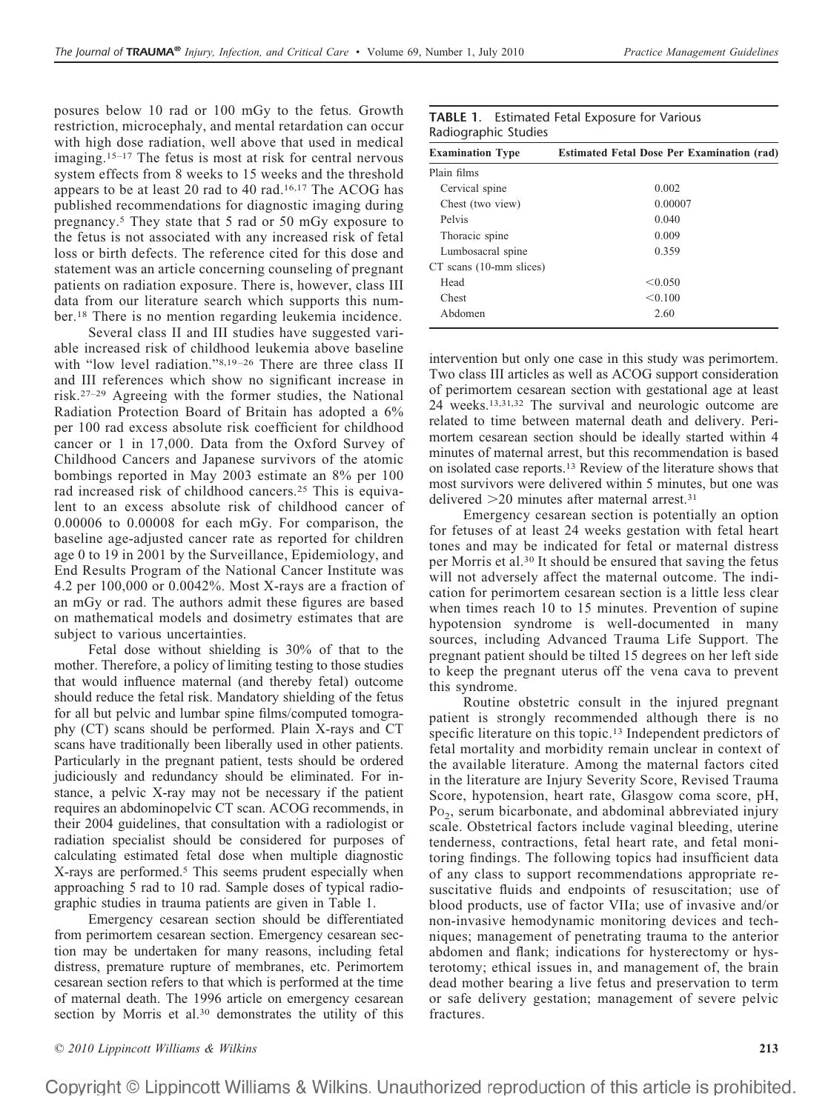posures below 10 rad or 100 mGy to the fetus*.* Growth restriction, microcephaly, and mental retardation can occur with high dose radiation, well above that used in medical imaging.15–17 The fetus is most at risk for central nervous system effects from 8 weeks to 15 weeks and the threshold appears to be at least 20 rad to 40 rad.16,17 The ACOG has published recommendations for diagnostic imaging during pregnancy.5 They state that 5 rad or 50 mGy exposure to the fetus is not associated with any increased risk of fetal loss or birth defects. The reference cited for this dose and statement was an article concerning counseling of pregnant patients on radiation exposure. There is, however, class III data from our literature search which supports this number.18 There is no mention regarding leukemia incidence.

Several class II and III studies have suggested variable increased risk of childhood leukemia above baseline with "low level radiation."8,19-26 There are three class II and III references which show no significant increase in risk.27–29 Agreeing with the former studies, the National Radiation Protection Board of Britain has adopted a 6% per 100 rad excess absolute risk coefficient for childhood cancer or 1 in 17,000. Data from the Oxford Survey of Childhood Cancers and Japanese survivors of the atomic bombings reported in May 2003 estimate an 8% per 100 rad increased risk of childhood cancers.25 This is equivalent to an excess absolute risk of childhood cancer of 0.00006 to 0.00008 for each mGy. For comparison, the baseline age-adjusted cancer rate as reported for children age 0 to 19 in 2001 by the Surveillance, Epidemiology, and End Results Program of the National Cancer Institute was 4.2 per 100,000 or 0.0042%. Most X-rays are a fraction of an mGy or rad. The authors admit these figures are based on mathematical models and dosimetry estimates that are subject to various uncertainties.

Fetal dose without shielding is 30% of that to the mother. Therefore, a policy of limiting testing to those studies that would influence maternal (and thereby fetal) outcome should reduce the fetal risk. Mandatory shielding of the fetus for all but pelvic and lumbar spine films/computed tomography (CT) scans should be performed. Plain X-rays and CT scans have traditionally been liberally used in other patients. Particularly in the pregnant patient, tests should be ordered judiciously and redundancy should be eliminated. For instance, a pelvic X-ray may not be necessary if the patient requires an abdominopelvic CT scan. ACOG recommends, in their 2004 guidelines, that consultation with a radiologist or radiation specialist should be considered for purposes of calculating estimated fetal dose when multiple diagnostic X-rays are performed.5 This seems prudent especially when approaching 5 rad to 10 rad. Sample doses of typical radiographic studies in trauma patients are given in Table 1.

Emergency cesarean section should be differentiated from perimortem cesarean section. Emergency cesarean section may be undertaken for many reasons, including fetal distress, premature rupture of membranes, etc. Perimortem cesarean section refers to that which is performed at the time of maternal death. The 1996 article on emergency cesarean section by Morris et al.<sup>30</sup> demonstrates the utility of this

| Radiographic Studies    |                                                   |  |
|-------------------------|---------------------------------------------------|--|
| <b>Examination Type</b> | <b>Estimated Fetal Dose Per Examination (rad)</b> |  |
| Plain films             |                                                   |  |
| Cervical spine          | 0.002                                             |  |
| Chest (two view)        | 0.00007                                           |  |
| Pelvis                  | 0.040                                             |  |

**TABLE 1**. Estimated Fetal Exposure for Various

| Pelvis                  | 0.040   |  |
|-------------------------|---------|--|
| Thoracic spine          | 0.009   |  |
| Lumbosacral spine       | 0.359   |  |
| CT scans (10-mm slices) |         |  |
| Head                    | < 0.050 |  |
| Chest                   | < 0.100 |  |
| Abdomen                 | 2.60    |  |
|                         |         |  |

intervention but only one case in this study was perimortem. Two class III articles as well as ACOG support consideration of perimortem cesarean section with gestational age at least 24 weeks.13,31,32 The survival and neurologic outcome are related to time between maternal death and delivery. Perimortem cesarean section should be ideally started within 4 minutes of maternal arrest, but this recommendation is based on isolated case reports.13 Review of the literature shows that most survivors were delivered within 5 minutes, but one was delivered  $>$ 20 minutes after maternal arrest.<sup>31</sup>

Emergency cesarean section is potentially an option for fetuses of at least 24 weeks gestation with fetal heart tones and may be indicated for fetal or maternal distress per Morris et al.30 It should be ensured that saving the fetus will not adversely affect the maternal outcome. The indication for perimortem cesarean section is a little less clear when times reach 10 to 15 minutes. Prevention of supine hypotension syndrome is well-documented in many sources, including Advanced Trauma Life Support. The pregnant patient should be tilted 15 degrees on her left side to keep the pregnant uterus off the vena cava to prevent this syndrome.

Routine obstetric consult in the injured pregnant patient is strongly recommended although there is no specific literature on this topic.<sup>13</sup> Independent predictors of fetal mortality and morbidity remain unclear in context of the available literature. Among the maternal factors cited in the literature are Injury Severity Score, Revised Trauma Score, hypotension, heart rate, Glasgow coma score, pH, Po<sub>2</sub>, serum bicarbonate, and abdominal abbreviated injury scale. Obstetrical factors include vaginal bleeding, uterine tenderness, contractions, fetal heart rate, and fetal monitoring findings. The following topics had insufficient data of any class to support recommendations appropriate resuscitative fluids and endpoints of resuscitation; use of blood products, use of factor VIIa; use of invasive and/or non-invasive hemodynamic monitoring devices and techniques; management of penetrating trauma to the anterior abdomen and flank; indications for hysterectomy or hysterotomy; ethical issues in, and management of, the brain dead mother bearing a live fetus and preservation to term or safe delivery gestation; management of severe pelvic fractures.

*© 2010 Lippincott Williams & Wilkins* **213**

Copyright © Lippincott Williams & Wilkins. Unauthorized reproduction of this article is prohibited.